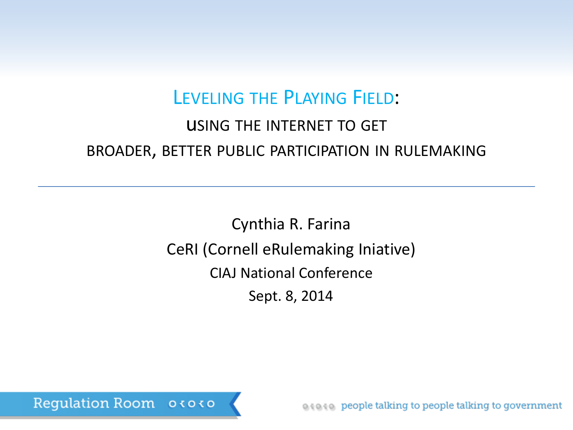### LEVELING THE PLAYING FIELD:

### uSING THE INTERNET TO GET BROADER, BETTER PUBLIC PARTICIPATION IN RULEMAKING

Cynthia R. Farina CeRI (Cornell eRulemaking Iniative) CIAJ National Conference Sept. 8, 2014

Regulation Room 03030

as as people talking to people talking to government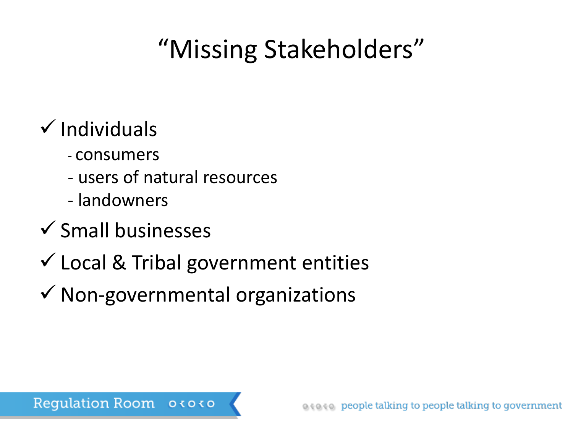# "Missing Stakeholders"

## $\checkmark$  Individuals

- consumers
- users of natural resources
- landowners
- $\checkmark$  Small businesses
- $\checkmark$  Local & Tribal government entities
- $\checkmark$  Non-governmental organizations

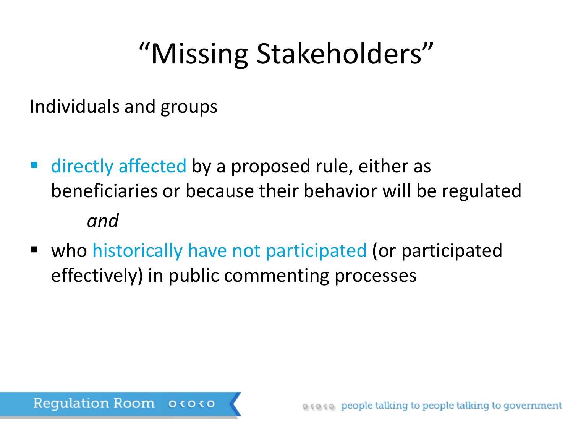# "Missing Stakeholders"

Individuals and groups

- directly affected by a proposed rule, either as beneficiaries or because their behavior will be regulated *and*
- who historically have not participated (or participated effectively) in public commenting processes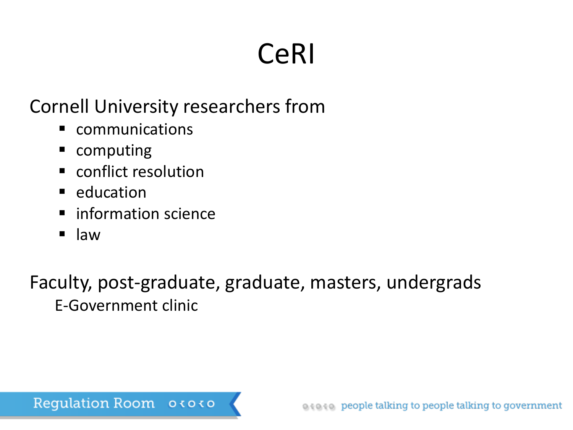# CeRI

### Cornell University researchers from

- communications
- computing
- conflict resolution
- $\blacksquare$  education
- information science
- $\blacksquare$  law

Faculty, post-graduate, graduate, masters, undergrads E-Government clinic

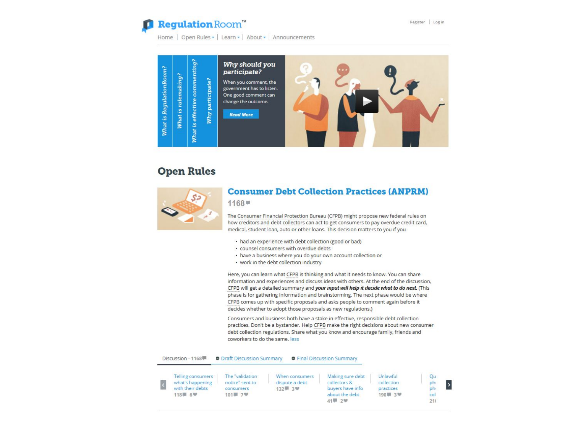#### Regulation Room"

Home | Open Rules - | Learn - | About - | Announcements



#### **Open Rules**



#### **Consumer Debt Collection Practices (ANPRM)**

 $1168 =$ 

The Consumer Financial Protection Bureau (CFPB) might propose new federal rules on how creditors and debt collectors can act to get consumers to pay overdue credit card, medical, student loan, auto or other loans. This decision matters to you if you

- had an experience with debt collection (good or bad)
- · counsel consumers with overdue debts
- · have a business where you do your own account collection or
- work in the debt collection industry

Here, you can learn what CFPB is thinking and what it needs to know. You can share information and experiences and discuss ideas with others. At the end of the discussion, CFPB will get a detailed summary and your input will help it decide what to do next. (This phase is for gathering information and brainstorming. The next phase would be where CFPB comes up with specific proposals and asks people to comment again before it decides whether to adopt those proposals as new regulations.)

Consumers and business both have a stake in effective, responsible debt collection practices. Don't be a bystander. Help CFPB make the right decisions about new consumer debt collection regulations. Share what you know and encourage family, friends and coworkers to do the same. less

#### Discussion - 1168 **Deam** O Draft Discussion Summary **O** Final Discussion Summary

| Telling consumers<br>what's happening<br>with their debts<br>118章 6梦 | The "validation<br>notice" sent to<br>consumers<br>101■ 7♥ | When consumers<br>dispute a debt<br>132 3 3 3 1 | Making sure debt<br>collectors &<br>buvers have info<br>about the debt | Unlawful<br>collection<br>practices<br>190章 3梦 | Ou<br>ph<br><b>ph</b><br>col |
|----------------------------------------------------------------------|------------------------------------------------------------|-------------------------------------------------|------------------------------------------------------------------------|------------------------------------------------|------------------------------|
|                                                                      |                                                            |                                                 | 41- 2型                                                                 |                                                | 211                          |

 $\vert$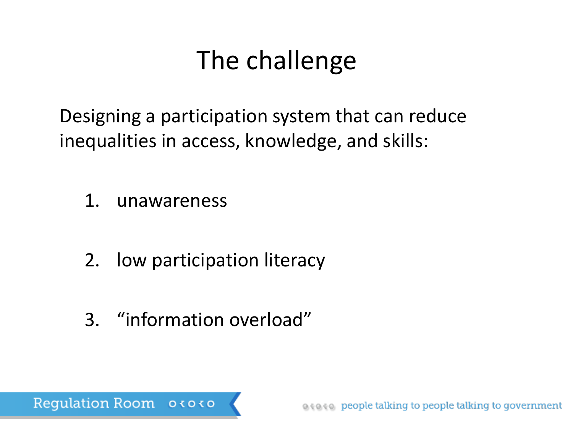## The challenge

Designing a participation system that can reduce inequalities in access, knowledge, and skills:

- 1. unawareness
- 2. low participation literacy
- 3. "information overload"

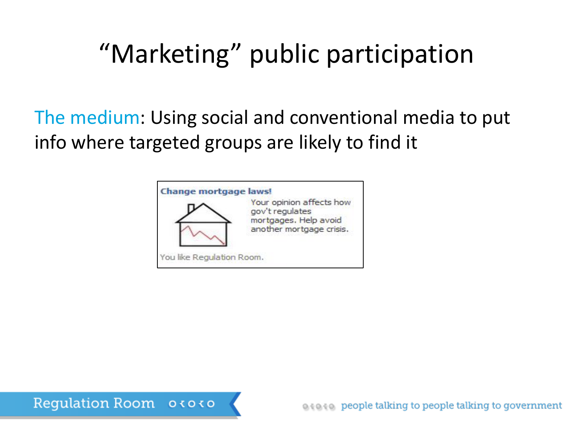# "Marketing" public participation

The medium: Using social and conventional media to put info where targeted groups are likely to find it



**Regulation Room**  $0<sub>0</sub><sub>0</sub>$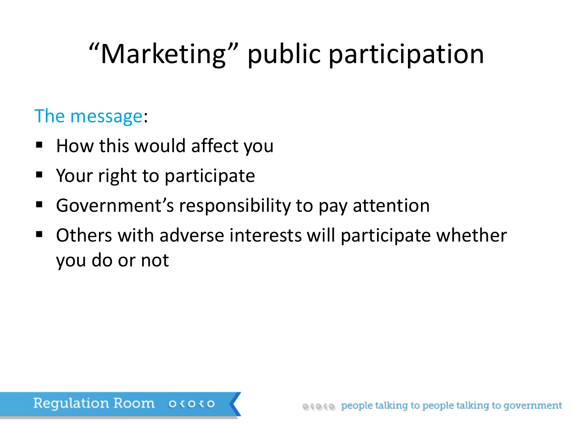# "Marketing" public participation

### The message:

- How this would affect you
- Your right to participate
- Government's responsibility to pay attention
- Others with adverse interests will participate whether you do or not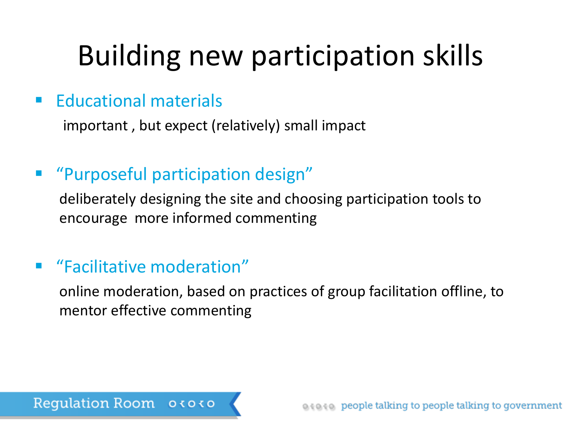# Building new participation skills

### **Educational materials**

important , but expect (relatively) small impact

### "Purposeful participation design"

deliberately designing the site and choosing participation tools to encourage more informed commenting

### "Facilitative moderation"

online moderation, based on practices of group facilitation offline, to mentor effective commenting

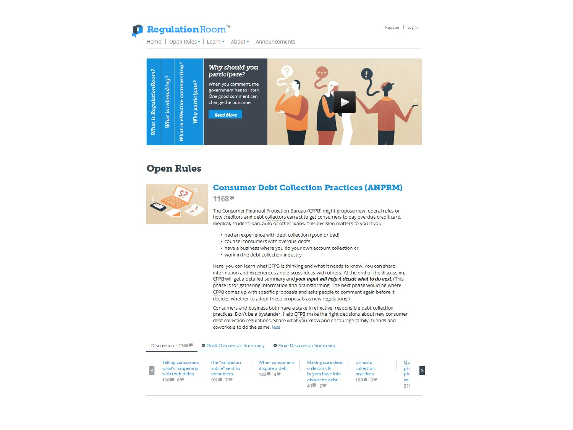

Register | Log in

Home | Open Rules - | Learn - | About - | Announcements



#### **Open Rules**



#### **Consumer Debt Collection Practices (ANPRM)**

 $1168 =$ 

The Consumer Financial Protection Bureau (CFPB) might propose new federal rules on how creditors and debt collectors can act to get consumers to pay overdue credit card, medical, student loan, auto or other loans. This decision matters to you if you

- had an experience with debt collection (good or bad)
- · counsel consumers with overdue debts
- . have a business where you do your own account collection or
- work in the debt collection industry

Here, you can learn what CFPB is thinking and what it needs to know. You can share information and experiences and discuss ideas with others. At the end of the discussion, CFPB will get a detailed summary and your input will help it decide what to do next. (This phase is for gathering information and brainstorming. The next phase would be where CFPB comes up with specific proposals and asks people to comment again before it decides whether to adopt those proposals as new regulations.)

Consumers and business both have a stake in effective, responsible debt collection practices. Don't be a bystander. Help CFPB make the right decisions about new consumer debt collection regulations. Share what you know and encourage family, friends and coworkers to do the same, less

| Discussion - 1168                                                    | <b>O</b> Draft Discussion Summary                          |                                                 | <b>O</b> Final Discussion Summary                                                |                                                |                              |
|----------------------------------------------------------------------|------------------------------------------------------------|-------------------------------------------------|----------------------------------------------------------------------------------|------------------------------------------------|------------------------------|
| Telling consumers<br>what's happening<br>with their debts<br>118章 6梦 | The "validation<br>notice" sent to<br>consumers<br>101章 7梦 | When consumers<br>dispute a debt<br>132 3 3 3 1 | Making sure debt<br>collectors &<br>buyers have info<br>about the debt<br>41章 2卷 | Unlawful<br>collection<br>practices<br>190■ 3♥ | Qu<br>ph<br>ph<br>col<br>211 |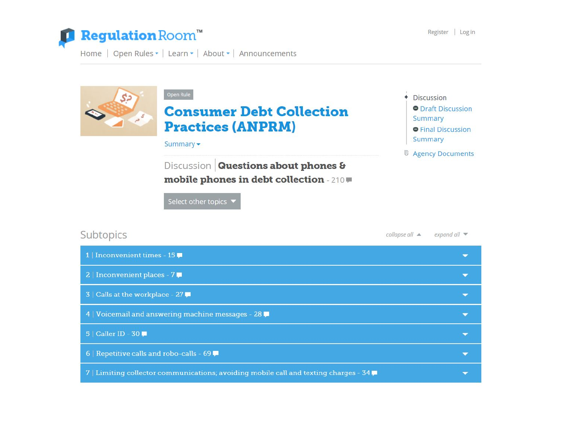

Home | Open Rules • | Learn • | About • | Announcements



| 1   Inconvenient times - 15                                                                         |  |
|-----------------------------------------------------------------------------------------------------|--|
| 2   Inconvenient places - 7                                                                         |  |
| $3$   Calls at the workplace - 27                                                                   |  |
| 4   Voicemail and answering machine messages - 28                                                   |  |
| $5$   Caller ID - $30$ $\blacksquare$                                                               |  |
| 6   Repetitive calls and robo-calls - 69                                                            |  |
| 7   Limiting collector communications; avoiding mobile call and texting charges - 34 $\blacksquare$ |  |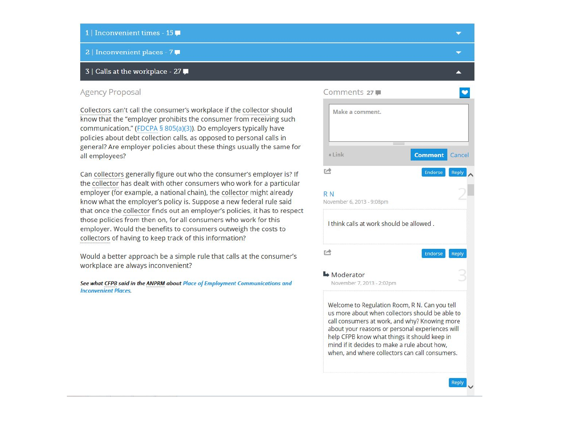- 1 | Inconvenient times 15
- 2 | Inconvenient places 7

#### 3 | Calls at the workplace - 27

#### Agency Proposal

Collectors can't call the consumer's workplace if the collector should know that the "employer prohibits the consumer from receiving such communication." (FDCPA § 805(a)(3)). Do employers typically have policies about debt collection calls, as opposed to personal calls in general? Are employer policies about these things usually the same for all employees?

Can collectors generally figure out who the consumer's employer is? If the collector has dealt with other consumers who work for a particular employer (for example, a national chain), the collector might already know what the employer's policy is. Suppose a new federal rule said that once the collector finds out an employer's policies, it has to respect those policies from then on, for all consumers who work for this employer. Would the benefits to consumers outweigh the costs to collectors of having to keep track of this information?

Would a better approach be a simple rule that calls at the consumer's workplace are always inconvenient?

See what CFPB said in the ANPRM about Place of Employment Communications and **Inconvenient Places.** 

| Make a comment.                              |                                                                                                  |
|----------------------------------------------|--------------------------------------------------------------------------------------------------|
|                                              |                                                                                                  |
|                                              |                                                                                                  |
| + Link                                       | <b>Comment</b><br>Cancel                                                                         |
| r#                                           | Endorse<br>Reply                                                                                 |
| R <sub>N</sub>                               |                                                                                                  |
| November 6, 2013 - 9:08pm                    |                                                                                                  |
|                                              |                                                                                                  |
| 宀                                            | Endorse<br>Reply                                                                                 |
| $ightharpoonup$ Moderator                    |                                                                                                  |
| November 7, 2013 - 2:02pm                    |                                                                                                  |
|                                              | Welcome to Regulation Room, R N. Can you tell                                                    |
|                                              | us more about when collectors should be able to<br>call consumers at work, and why? Knowing more |
| help CFPB know what things it should keep in | about your reasons or personal experiences will                                                  |
| mind if it decides to make a rule about how. | when, and where collectors can call consumers.                                                   |

 $\overline{\phantom{0}}$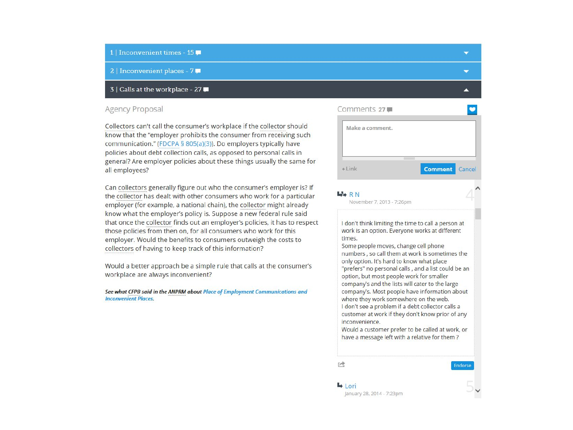#### 1 | Inconvenient times - 15

2 | Inconvenient places - 7

#### 3 | Calls at the workplace - 27

#### Agency Proposal

Collectors can't call the consumer's workplace if the collector should know that the "employer prohibits the consumer from receiving such communication." (FDCPA § 805(a)(3)). Do employers typically have policies about debt collection calls, as opposed to personal calls in general? Are employer policies about these things usually the same for all employees?

Can collectors generally figure out who the consumer's employer is? If the collector has dealt with other consumers who work for a particular employer (for example, a national chain), the collector might already know what the employer's policy is. Suppose a new federal rule said that once the collector finds out an employer's policies, it has to respect those policies from then on, for all consumers who work for this employer. Would the benefits to consumers outweigh the costs to collectors of having to keep track of this information?

Would a better approach be a simple rule that calls at the consumer's workplace are always inconvenient?

See what CFPB said in the ANPRM about Place of Employment Communications and **Inconvenient Places** 

| Comments 27     |                |
|-----------------|----------------|
| Make a comment. |                |
|                 |                |
|                 | <b>Service</b> |

#### **LARN**

November 7, 2013 - 7:26pm

I don't think limiting the time to call a person at work is an option. Everyone works at different times.

Some people moves, change cell phone numbers, so call them at work is sometimes the only option. It's hard to know what place "prefers" no personal calls, and a list could be an option, but most people work for smaller company's and the lists will cater to the large company's. Most people have information about where they work somewhere on the web. I don't see a problem if a debt collector calls a customer at work if they don't know prior of any inconvenience.

Would a customer prefer to be called at work, or have a message left with a relative for them?

产

 $\rightarrow$  Lori

Endorse

 $\overline{\phantom{0}}$ 

 $\overline{\phantom{0}}$ 

January 28, 2014 - 7:23pm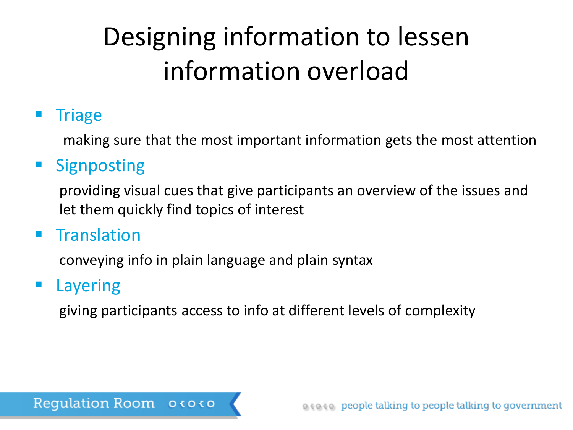# Designing information to lessen information overload

### **Triage**

making sure that the most important information gets the most attention

### **Signposting**

providing visual cues that give participants an overview of the issues and let them quickly find topics of interest

### **Translation**

conveying info in plain language and plain syntax

### Layering

giving participants access to info at different levels of complexity

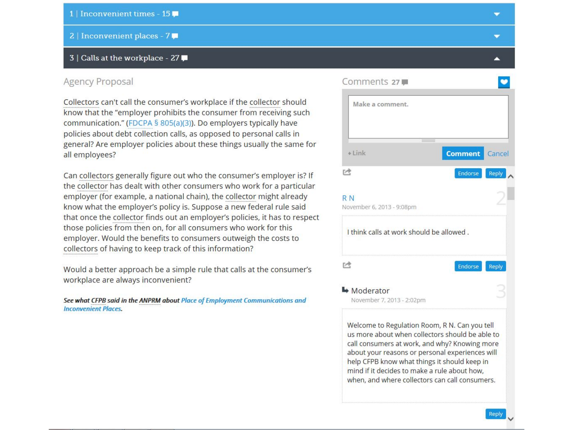#### 1 | Inconvenient times - 15

2 | Inconvenient places - 7

#### 3 | Calls at the workplace - 27

#### **Agency Proposal**

Collectors can't call the consumer's workplace if the collector should know that the "employer prohibits the consumer from receiving such communication." (FDCPA § 805(a)(3)). Do employers typically have policies about debt collection calls, as opposed to personal calls in general? Are employer policies about these things usually the same for all employees?

Can collectors generally figure out who the consumer's employer is? If the collector has dealt with other consumers who work for a particular employer (for example, a national chain), the collector might already know what the employer's policy is. Suppose a new federal rule said that once the collector finds out an employer's policies, it has to respect those policies from then on, for all consumers who work for this employer. Would the benefits to consumers outweigh the costs to collectors of having to keep track of this information?

Would a better approach be a simple rule that calls at the consumer's workplace are always inconvenient?

See what CFPB said in the ANPRM about Place of Employment Communications and **Inconvenient Places.** 



╺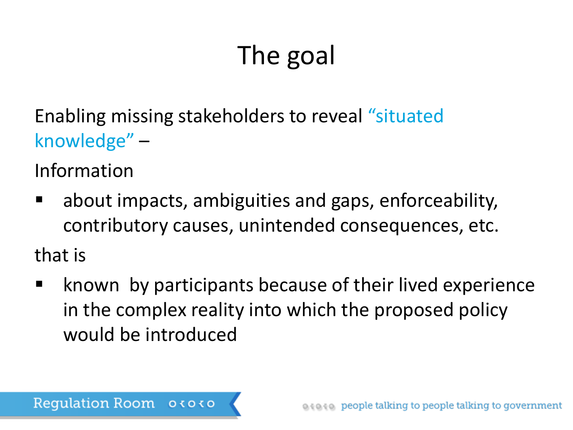# The goal

Enabling missing stakeholders to reveal "situated knowledge" –

Information

 about impacts, ambiguities and gaps, enforceability, contributory causes, unintended consequences, etc.

that is

 known by participants because of their lived experience in the complex reality into which the proposed policy would be introduced

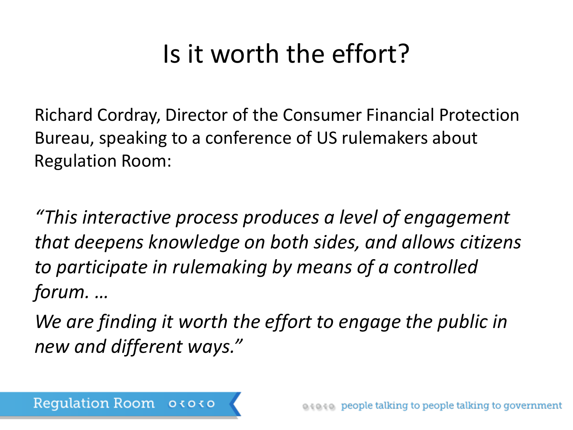# Is it worth the effort?

Richard Cordray, Director of the Consumer Financial Protection Bureau, speaking to a conference of US rulemakers about Regulation Room:

*"This interactive process produces a level of engagement that deepens knowledge on both sides, and allows citizens to participate in rulemaking by means of a controlled forum. …* 

*We are finding it worth the effort to engage the public in new and different ways."*